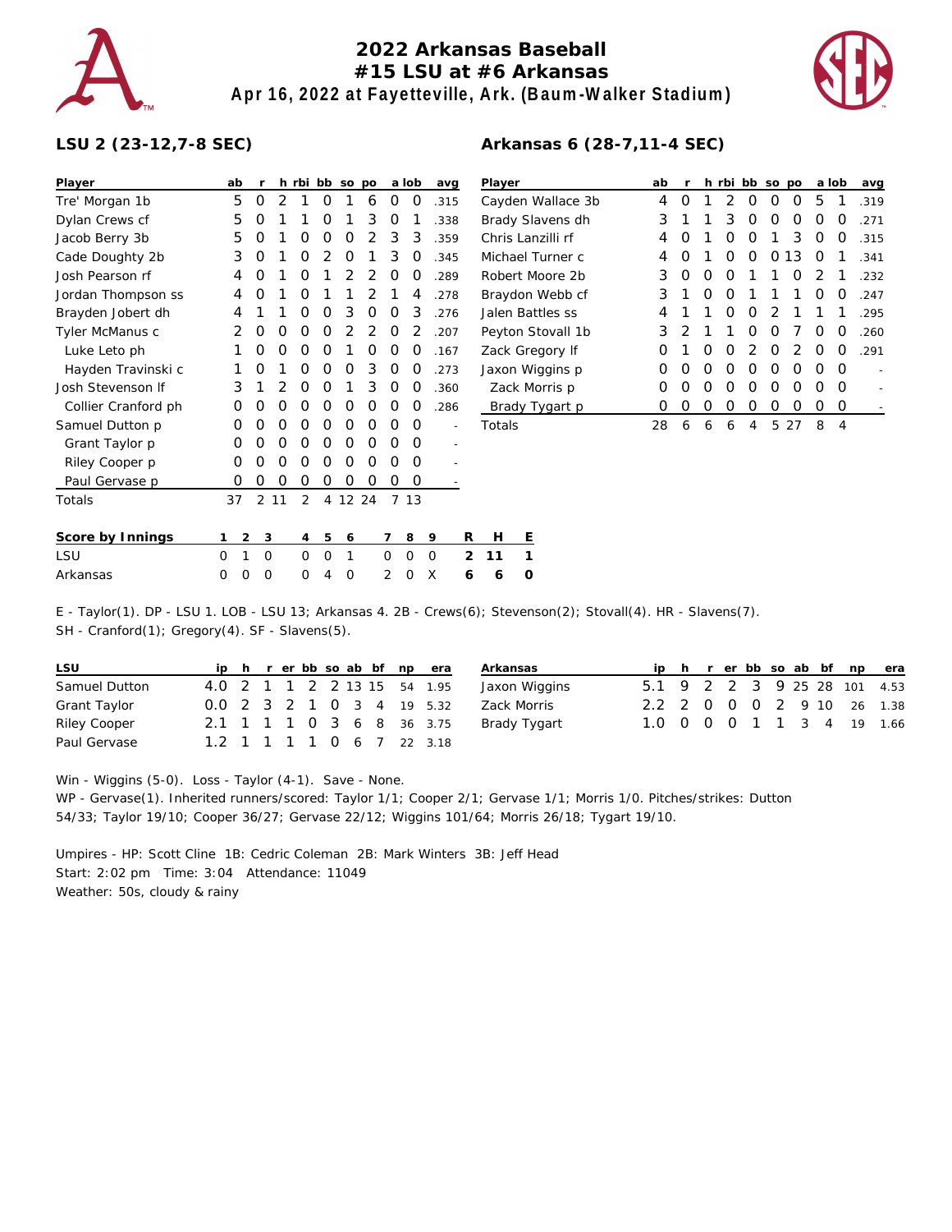

## **2022 Arkansas Baseball #15 LSU at #6 Arkansas Apr 16, 2022 at Fayetteville, Ark. (Baum-Walker Stadium)**



## **LSU 2 (23-12,7-8 SEC)**

| Player              | ab |                | r  | h rbi bb       |                |   | so po |   | a lob | avg  |                | Player              |        |
|---------------------|----|----------------|----|----------------|----------------|---|-------|---|-------|------|----------------|---------------------|--------|
| Tre' Morgan 1b      | 5  | O              | 2  | 1              | Ω              | 1 | 6     | 0 | O     | .315 |                | Cayden <sup>'</sup> |        |
| Dylan Crews cf      | 5  | O              | 1  | 1              | Ο              | 1 | 3     | O | 1     | .338 |                | <b>Brady SI</b>     |        |
| Jacob Berry 3b      | 5  | O              | 1  | Ο              | Ο              | 0 | 2     | 3 | 3     | .359 |                | Chris La            |        |
| Cade Doughty 2b     | 3  | O              | 1  | Ο              | $\overline{2}$ | 0 | 1     | 3 | 0     | .345 |                | Michael             |        |
| Josh Pearson rf     | 4  | Ο              | 1  | Ω              | 1              | 2 | 2     | O | O     | .289 |                | Robert N            |        |
| Jordan Thompson ss  | 4  | O              | 1  | 0              | 1              | 1 | 2     | 1 | 4     | .278 |                | Braydon             |        |
| Brayden Jobert dh   | 4  | 1              | 1  | Ω              | 0              | 3 | O     | Ω | 3     | .276 |                | Jalen Ba            |        |
| Tyler McManus c     | 2  | 0              | 0  | Ο              | O              | 2 | 2     | O | 2     | .207 |                | Peyton S            |        |
| Luke Leto ph        | 1  | O              | Ο  | Ο              | O              | 1 | Ο     | O | O     | .167 |                | Zack Gre            |        |
| Hayden Travinski c  | 1  | O              | 1  | Ω              | O              | 0 | 3     | 0 | O     | .273 |                | Jaxon W             |        |
| Josh Stevenson If   | 3  | 1              | 2  | Ο              | Ο              | 1 | 3     | O | O     | .360 |                |                     | Zack M |
| Collier Cranford ph | Ο  | O              | 0  | Ω              | Ο              | 0 | Ο     | Ο | O     | .286 |                |                     | Brady  |
| Samuel Dutton p     | Ο  | 0              | 0  | Ο              | 0              | 0 | O     | O | Ο     |      |                | Totals              |        |
| Grant Taylor p      | Ο  | O              | 0  | Ο              | O              | 0 | Ο     | O | O     |      |                |                     |        |
| Riley Cooper p      | 0  | O              | Ω  | Ω              | O              | 0 | Ο     | O | O     |      |                |                     |        |
| Paul Gervase p      | 0  | O              | Ο  | Ο              | 0              | 0 | Ο     | O | O     |      |                |                     |        |
| Totals              | 37 | 2              | 11 | $\overline{2}$ | 4              |   | 12 24 |   | 7 13  |      |                |                     |        |
| Score by Innings    | 1  | $\overline{2}$ | 3  | 4              | 5              | 6 |       | 7 | 8     | 9    | R              | Н                   | Е      |
| LSU                 | 0  | 1              | O  | 0              | 0              | 1 |       | 0 | 0     | O    | $\overline{2}$ | 11                  | 1      |

| Player            | ab | r | h. | rbi | bb | <b>SO</b>     | po |               | a lob            | avg  |
|-------------------|----|---|----|-----|----|---------------|----|---------------|------------------|------|
| Cayden Wallace 3b | 4  | Ω | 1  | 2   | Ω  | O             | O  | 5             | 1                | .319 |
| Brady Slavens dh  | 3  | 1 | 1  | 3   | Ω  | O             | Ω  | O             | $\left( \right)$ | .271 |
| Chris Lanzilli rf | 4  | Ω | 1  | Ω   | Ω  | 1             | 3  | O             | O                | .315 |
| Michael Turner c  | 4  | Ω | 1  | ∩   | Ω  | O             | 13 | O             | 1                | .341 |
| Robert Moore 2b   | 3  | Ω | O  | O   | 1  | 1             | Ω  | $\mathcal{P}$ | 1                | .232 |
| Braydon Webb cf   | 3  | 1 | O  | O   | 1  | 1             | 1  | O             | Ω                | .247 |
| Jalen Battles ss  | 4  | 1 | 1  | ∩   | O  | $\mathcal{P}$ | 1  | 1             | 1                | .295 |
| Peyton Stovall 1b | 3  | 2 | 1  | 1   | Ω  | O             | 7  | O             | O                | .260 |
| Zack Gregory If   | Ω  | 1 | O  | O   | 2  | O             | 2  | O             | O                | .291 |
| Jaxon Wiggins p   | Ω  | Ω | O  | O   | Ω  | O             | ∩  | ∩             | O                |      |
| Zack Morris p     | Ω  | Ω | O  | Ω   | Ω  | O             | Ω  | Ω             | O                |      |
| Brady Tygart p    | Ω  | ∩ | O  | Ω   | Ω  | Ω             | Ω  | O             | Ω                |      |
| Totals            | 28 | 6 | 6  | 6   | 4  | 5             | 27 | 8             | 4                |      |

## **Arkansas 6 (28-7,11-4 SEC)**

Arkansas 0 0 0 0 4 0 2 0 X **6 6 0** E - Taylor(1). DP - LSU 1. LOB - LSU 13; Arkansas 4. 2B - Crews(6); Stevenson(2); Stovall(4). HR - Slavens(7).

SH - Cranford(1); Gregory(4). SF - Slavens(5).

| LSU           |  |  |  |  | ip h r er bb so ab bf np era | Arkansas      |  |  |  |  | ip h r er bb so ab bf np era |
|---------------|--|--|--|--|------------------------------|---------------|--|--|--|--|------------------------------|
| Samuel Dutton |  |  |  |  | 4.0 2 1 1 2 2 13 15 54 1.95  | Jaxon Wiggins |  |  |  |  | 5.1 9 2 2 3 9 25 28 101 4.53 |
| Grant Taylor  |  |  |  |  | 0.0 2 3 2 1 0 3 4 19 5.32    | Zack Morris   |  |  |  |  | 2.2 2 0 0 0 2 9 10 26 1.38   |
| Riley Cooper  |  |  |  |  | 2.1 1 1 1 0 3 6 8 36 3.75    | Brady Tygart  |  |  |  |  | 1.0 0 0 0 1 1 3 4 19 1.66    |
| Paul Gervase  |  |  |  |  | 1.2 1 1 1 1 0 6 7 22 3.18    |               |  |  |  |  |                              |

Win - Wiggins (5-0). Loss - Taylor (4-1). Save - None.

WP - Gervase(1). Inherited runners/scored: Taylor 1/1; Cooper 2/1; Gervase 1/1; Morris 1/0. Pitches/strikes: Dutton 54/33; Taylor 19/10; Cooper 36/27; Gervase 22/12; Wiggins 101/64; Morris 26/18; Tygart 19/10.

Umpires - HP: Scott Cline 1B: Cedric Coleman 2B: Mark Winters 3B: Jeff Head Start: 2:02 pm Time: 3:04 Attendance: 11049 Weather: 50s, cloudy & rainy